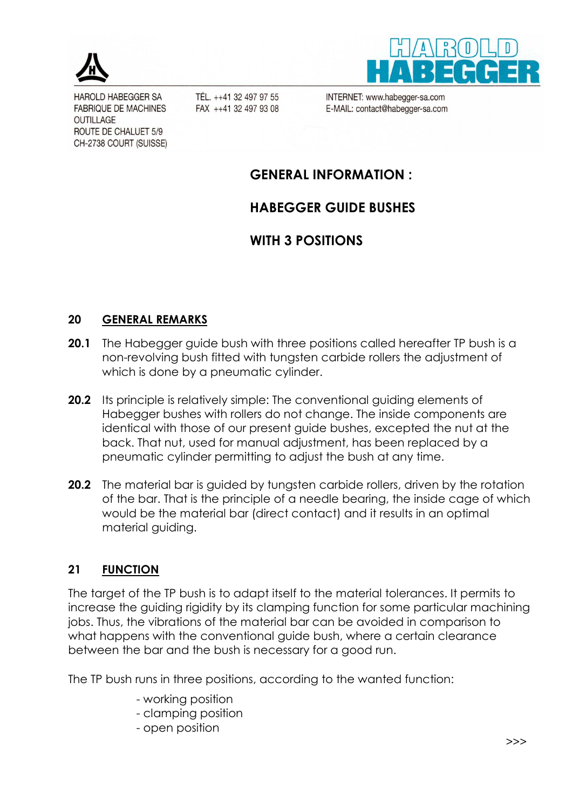

**HAROLD HABEGGER SA FABRIQUE DE MACHINES OUTILLAGE** ROUTE DE CHALUET 5/9 CH-2738 COURT (SUISSE)

TÉL. ++41 32 497 97 55 FAX ++41 32 497 93 08 INTERNET: www.habegger-sa.com E-MAIL: contact@habegger-sa.com

## **GENERAL INFORMATION :**

# **HABEGGER GUIDE BUSHES**

# **WITH 3 POSITIONS**

### **20 GENERAL REMARKS**

- **20.1** The Habegger guide bush with three positions called hereafter TP bush is a non-revolving bush fitted with tungsten carbide rollers the adjustment of which is done by a pneumatic cylinder.
- **20.2** Its principle is relatively simple: The conventional guiding elements of Habegger bushes with rollers do not change. The inside components are identical with those of our present guide bushes, excepted the nut at the back. That nut, used for manual adjustment, has been replaced by a pneumatic cylinder permitting to adjust the bush at any time.
- **20.2** The material bar is guided by tungsten carbide rollers, driven by the rotation of the bar. That is the principle of a needle bearing, the inside cage of which would be the material bar (direct contact) and it results in an optimal material guiding.

## **21 FUNCTION**

The target of the TP bush is to adapt itself to the material tolerances. It permits to increase the guiding rigidity by its clamping function for some particular machining jobs. Thus, the vibrations of the material bar can be avoided in comparison to what happens with the conventional guide bush, where a certain clearance between the bar and the bush is necessary for a good run.

The TP bush runs in three positions, according to the wanted function:

- working position
- clamping position
- open position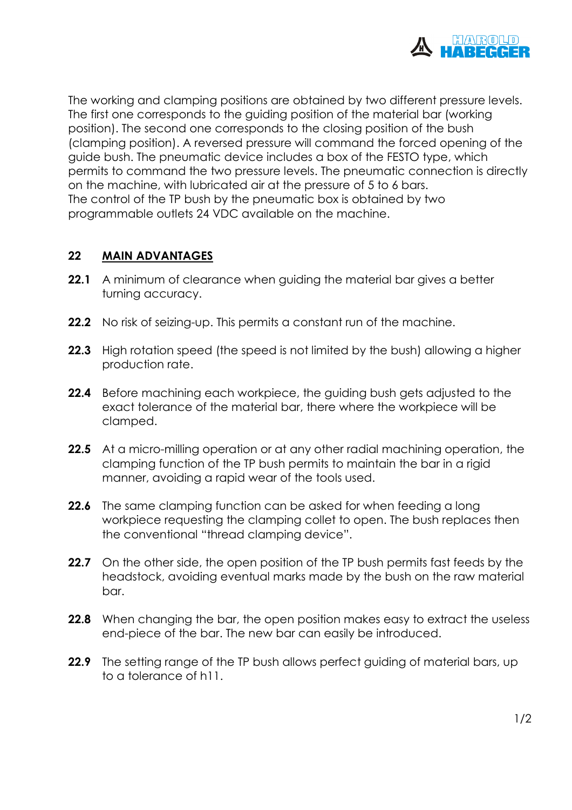

The working and clamping positions are obtained by two different pressure levels. The first one corresponds to the guiding position of the material bar (working position). The second one corresponds to the closing position of the bush (clamping position). A reversed pressure will command the forced opening of the guide bush. The pneumatic device includes a box of the FESTO type, which permits to command the two pressure levels. The pneumatic connection is directly on the machine, with lubricated air at the pressure of 5 to 6 bars. The control of the TP bush by the pneumatic box is obtained by two programmable outlets 24 VDC available on the machine.

### **22 MAIN ADVANTAGES**

- **22.1** A minimum of clearance when quiding the material bar gives a better turning accuracy.
- **22.2** No risk of seizing-up. This permits a constant run of the machine.
- **22.3** High rotation speed (the speed is not limited by the bush) allowing a higher production rate.
- **22.4** Before machining each workpiece, the guiding bush gets adjusted to the exact tolerance of the material bar, there where the workpiece will be clamped.
- **22.5** At a micro-milling operation or at any other radial machining operation, the clamping function of the TP bush permits to maintain the bar in a rigid manner, avoiding a rapid wear of the tools used.
- **22.6** The same clamping function can be asked for when feeding a long workpiece requesting the clamping collet to open. The bush replaces then the conventional "thread clamping device".
- **22.7** On the other side, the open position of the TP bush permits fast feeds by the headstock, avoiding eventual marks made by the bush on the raw material bar.
- **22.8** When changing the bar, the open position makes easy to extract the useless end-piece of the bar. The new bar can easily be introduced.
- **22.9** The setting range of the TP bush allows perfect guiding of material bars, up to a tolerance of h11.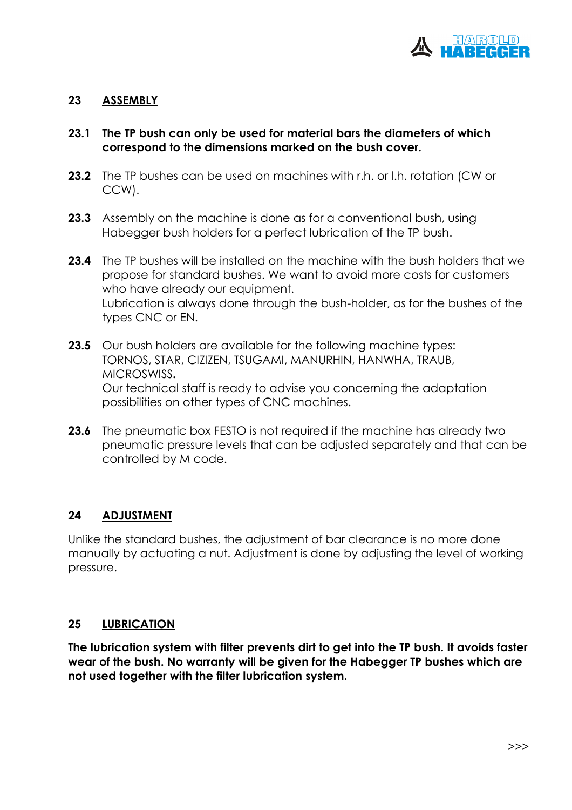

#### **23 ASSEMBLY**

#### **23.1 The TP bush can only be used for material bars the diameters of which correspond to the dimensions marked on the bush cover.**

- **23.2** The TP bushes can be used on machines with r.h. or l.h. rotation (CW or CCW).
- **23.3** Assembly on the machine is done as for a conventional bush, using Habegger bush holders for a perfect lubrication of the TP bush.
- **23.4** The TP bushes will be installed on the machine with the bush holders that we propose for standard bushes. We want to avoid more costs for customers who have already our equipment. Lubrication is always done through the bush-holder, as for the bushes of the types CNC or EN.
- **23.5** Our bush holders are available for the following machine types: TORNOS, STAR, CIZIZEN, TSUGAMI, MANURHIN, HANWHA, TRAUB, MICROSWISS**.**  Our technical staff is ready to advise you concerning the adaptation possibilities on other types of CNC machines.
- **23.6** The pneumatic box FESTO is not required if the machine has already two pneumatic pressure levels that can be adjusted separately and that can be controlled by M code.

#### **24 ADJUSTMENT**

Unlike the standard bushes, the adjustment of bar clearance is no more done manually by actuating a nut. Adjustment is done by adjusting the level of working pressure.

#### **25 LUBRICATION**

**The lubrication system with filter prevents dirt to get into the TP bush. It avoids faster wear of the bush. No warranty will be given for the Habegger TP bushes which are not used together with the filter lubrication system.**